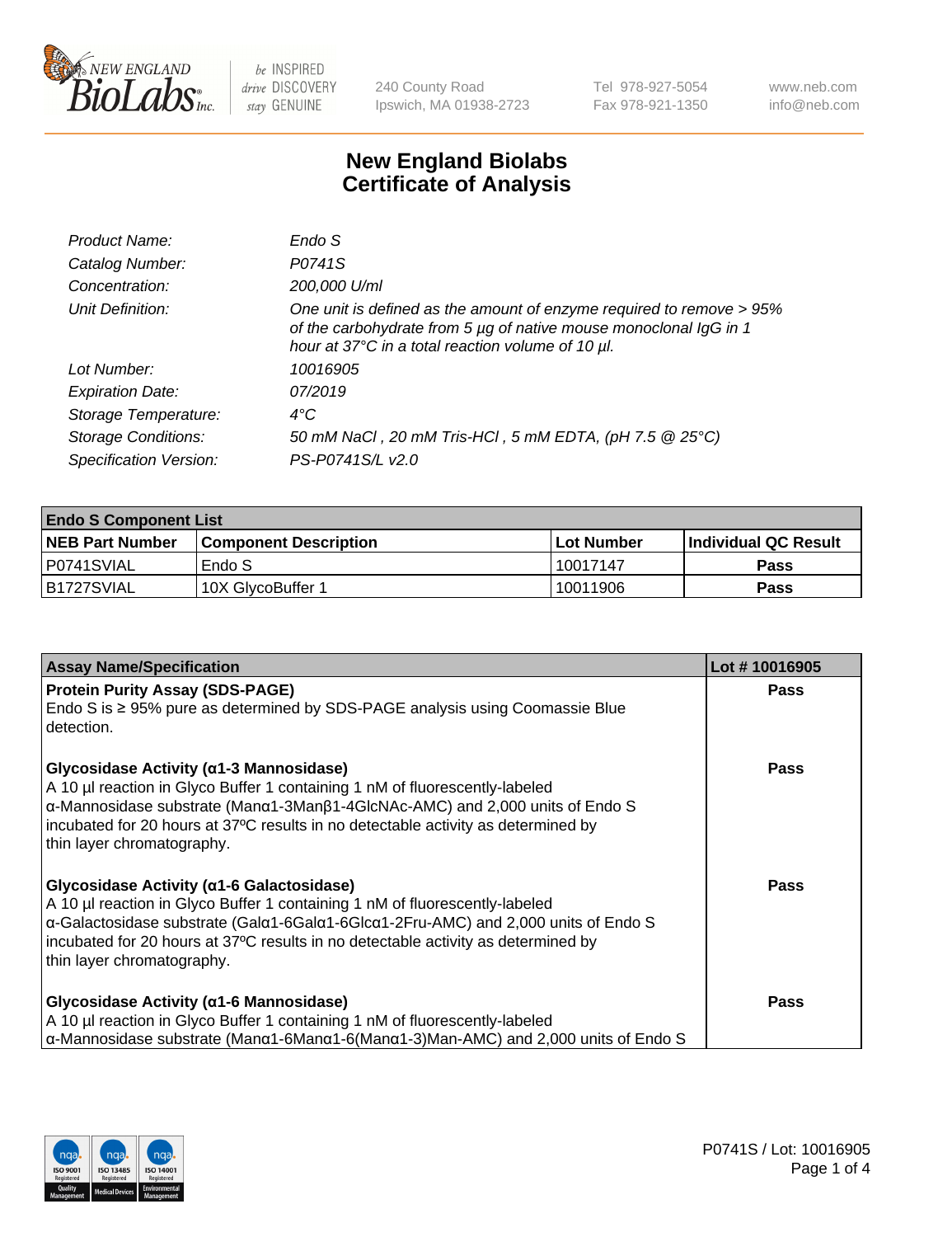

240 County Road Ipswich, MA 01938-2723 Tel 978-927-5054 Fax 978-921-1350 www.neb.com info@neb.com

## **New England Biolabs Certificate of Analysis**

| Product Name:              | Endo S                                                                                                                                                                                         |
|----------------------------|------------------------------------------------------------------------------------------------------------------------------------------------------------------------------------------------|
| Catalog Number:            | P0741S                                                                                                                                                                                         |
| Concentration:             | 200,000 U/ml                                                                                                                                                                                   |
| Unit Definition:           | One unit is defined as the amount of enzyme required to remove > 95%<br>of the carbohydrate from 5 µg of native mouse monoclonal IgG in 1<br>hour at 37°C in a total reaction volume of 10 µl. |
| Lot Number:                | 10016905                                                                                                                                                                                       |
| <b>Expiration Date:</b>    | 07/2019                                                                                                                                                                                        |
| Storage Temperature:       | $4^{\circ}$ C                                                                                                                                                                                  |
| <b>Storage Conditions:</b> | 50 mM NaCl, 20 mM Tris-HCl, 5 mM EDTA, (pH 7.5 @ 25°C)                                                                                                                                         |
| Specification Version:     | PS-P0741S/L v2.0                                                                                                                                                                               |
|                            |                                                                                                                                                                                                |

| <b>Endo S Component List</b> |                         |            |                             |  |  |
|------------------------------|-------------------------|------------|-----------------------------|--|--|
| <b>NEB Part Number</b>       | l Component Description | Lot Number | <b>Individual QC Result</b> |  |  |
| P0741SVIAL                   | Endo S                  | 10017147   | Pass                        |  |  |
| B1727SVIAL                   | 10X GlycoBuffer 1       | 10011906   | Pass                        |  |  |

| <b>Assay Name/Specification</b>                                                                                                                                                                                                                                                                                                                    | Lot #10016905 |
|----------------------------------------------------------------------------------------------------------------------------------------------------------------------------------------------------------------------------------------------------------------------------------------------------------------------------------------------------|---------------|
| <b>Protein Purity Assay (SDS-PAGE)</b><br>Endo S is $\geq$ 95% pure as determined by SDS-PAGE analysis using Coomassie Blue<br>detection.                                                                                                                                                                                                          | Pass          |
| Glycosidase Activity (α1-3 Mannosidase)<br>A 10 µl reaction in Glyco Buffer 1 containing 1 nM of fluorescently-labeled<br>$\alpha$ -Mannosidase substrate (Man $\alpha$ 1-3Man $\beta$ 1-4GlcNAc-AMC) and 2,000 units of Endo S<br>incubated for 20 hours at 37°C results in no detectable activity as determined by<br>thin layer chromatography. | <b>Pass</b>   |
| Glycosidase Activity (α1-6 Galactosidase)<br>A 10 µl reaction in Glyco Buffer 1 containing 1 nM of fluorescently-labeled<br>α-Galactosidase substrate (Galα1-6Galα1-6Glcα1-2Fru-AMC) and 2,000 units of Endo S<br>incubated for 20 hours at 37°C results in no detectable activity as determined by<br>thin layer chromatography.                  | Pass          |
| Glycosidase Activity (α1-6 Mannosidase)<br>A 10 µl reaction in Glyco Buffer 1 containing 1 nM of fluorescently-labeled<br>$\alpha$ -Mannosidase substrate (Man $\alpha$ 1-6Man $\alpha$ 1-6(Man $\alpha$ 1-3)Man-AMC) and 2,000 units of Endo S                                                                                                    | <b>Pass</b>   |

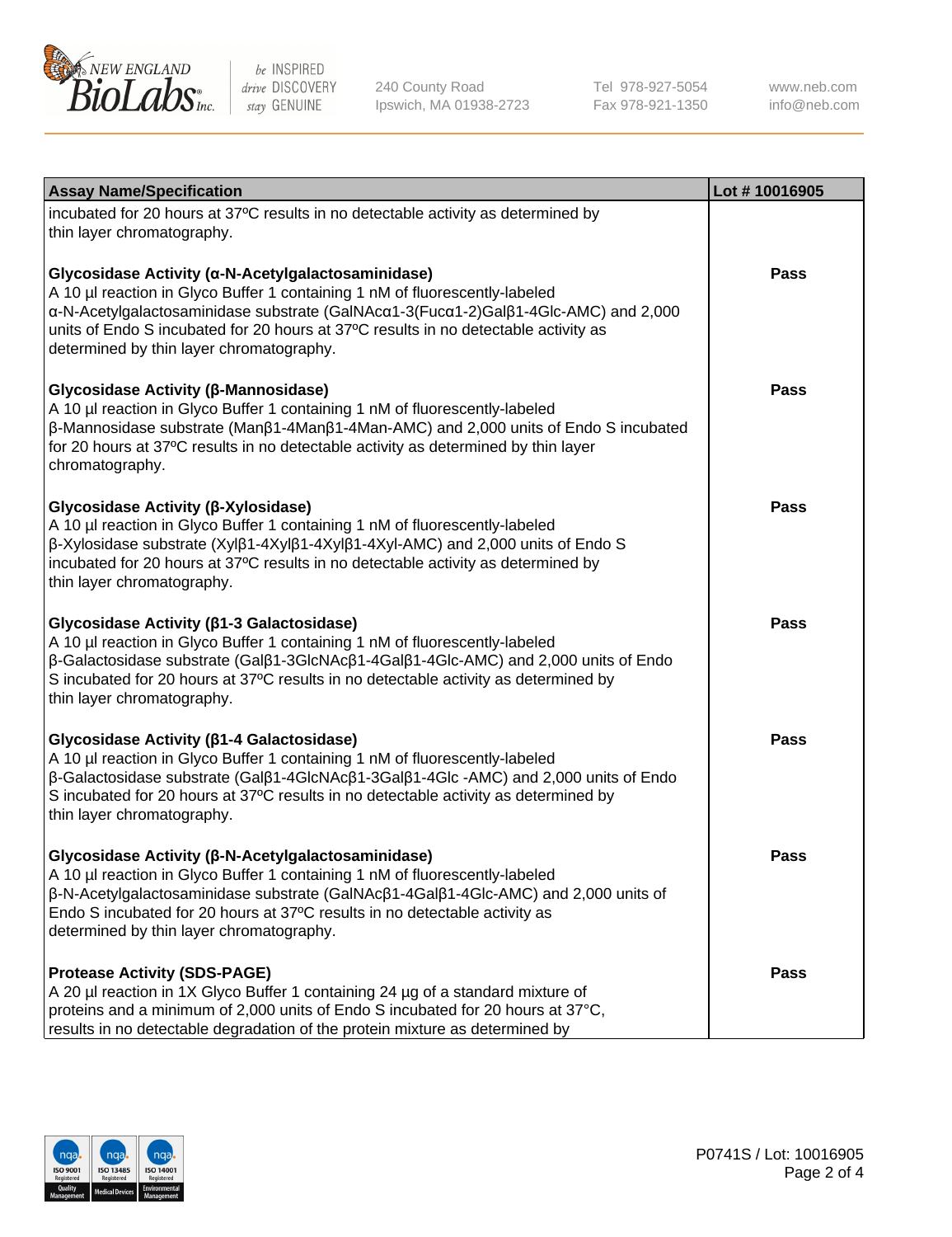

240 County Road Ipswich, MA 01938-2723 Tel 978-927-5054 Fax 978-921-1350

www.neb.com info@neb.com

| <b>Assay Name/Specification</b>                                                                                                                                                                                                                                                                                                                                             | Lot #10016905 |
|-----------------------------------------------------------------------------------------------------------------------------------------------------------------------------------------------------------------------------------------------------------------------------------------------------------------------------------------------------------------------------|---------------|
| incubated for 20 hours at 37°C results in no detectable activity as determined by<br>thin layer chromatography.                                                                                                                                                                                                                                                             |               |
| Glycosidase Activity (α-N-Acetylgalactosaminidase)<br>A 10 µl reaction in Glyco Buffer 1 containing 1 nM of fluorescently-labeled<br>α-N-Acetylgalactosaminidase substrate (GalNAcα1-3(Fucα1-2)Galβ1-4Glc-AMC) and 2,000<br>units of Endo S incubated for 20 hours at 37°C results in no detectable activity as<br>determined by thin layer chromatography.                 | Pass          |
| Glycosidase Activity (β-Mannosidase)<br>A 10 µl reaction in Glyco Buffer 1 containing 1 nM of fluorescently-labeled<br>β-Mannosidase substrate (Manβ1-4Manβ1-4Man-AMC) and 2,000 units of Endo S incubated<br>for 20 hours at 37°C results in no detectable activity as determined by thin layer<br>chromatography.                                                         | Pass          |
| Glycosidase Activity (β-Xylosidase)<br>A 10 µl reaction in Glyco Buffer 1 containing 1 nM of fluorescently-labeled<br>β-Xylosidase substrate (Xylβ1-4Xylβ1-4Xylβ1-4Xyl-AMC) and 2,000 units of Endo S<br>incubated for 20 hours at 37°C results in no detectable activity as determined by<br>thin layer chromatography.                                                    | Pass          |
| Glycosidase Activity ( $\beta$ 1-3 Galactosidase)<br>A 10 µl reaction in Glyco Buffer 1 containing 1 nM of fluorescently-labeled<br>$\beta$ -Galactosidase substrate (Gal $\beta$ 1-3GlcNAc $\beta$ 1-4Gal $\beta$ 1-4Glc-AMC) and 2,000 units of Endo<br>S incubated for 20 hours at 37°C results in no detectable activity as determined by<br>thin layer chromatography. | Pass          |
| Glycosidase Activity (β1-4 Galactosidase)<br>A 10 µl reaction in Glyco Buffer 1 containing 1 nM of fluorescently-labeled<br>β-Galactosidase substrate (Galβ1-4GlcNAcβ1-3Galβ1-4Glc -AMC) and 2,000 units of Endo<br>S incubated for 20 hours at 37°C results in no detectable activity as determined by<br>thin layer chromatography.                                       | <b>Pass</b>   |
| Glycosidase Activity (β-N-Acetylgalactosaminidase)<br>A 10 µl reaction in Glyco Buffer 1 containing 1 nM of fluorescently-labeled<br>β-N-Acetylgalactosaminidase substrate (GalNAcβ1-4Galβ1-4Glc-AMC) and 2,000 units of<br>Endo S incubated for 20 hours at 37°C results in no detectable activity as<br>determined by thin layer chromatography.                          | <b>Pass</b>   |
| <b>Protease Activity (SDS-PAGE)</b><br>A 20 µl reaction in 1X Glyco Buffer 1 containing 24 µg of a standard mixture of<br>proteins and a minimum of 2,000 units of Endo S incubated for 20 hours at 37°C,<br>results in no detectable degradation of the protein mixture as determined by                                                                                   | Pass          |

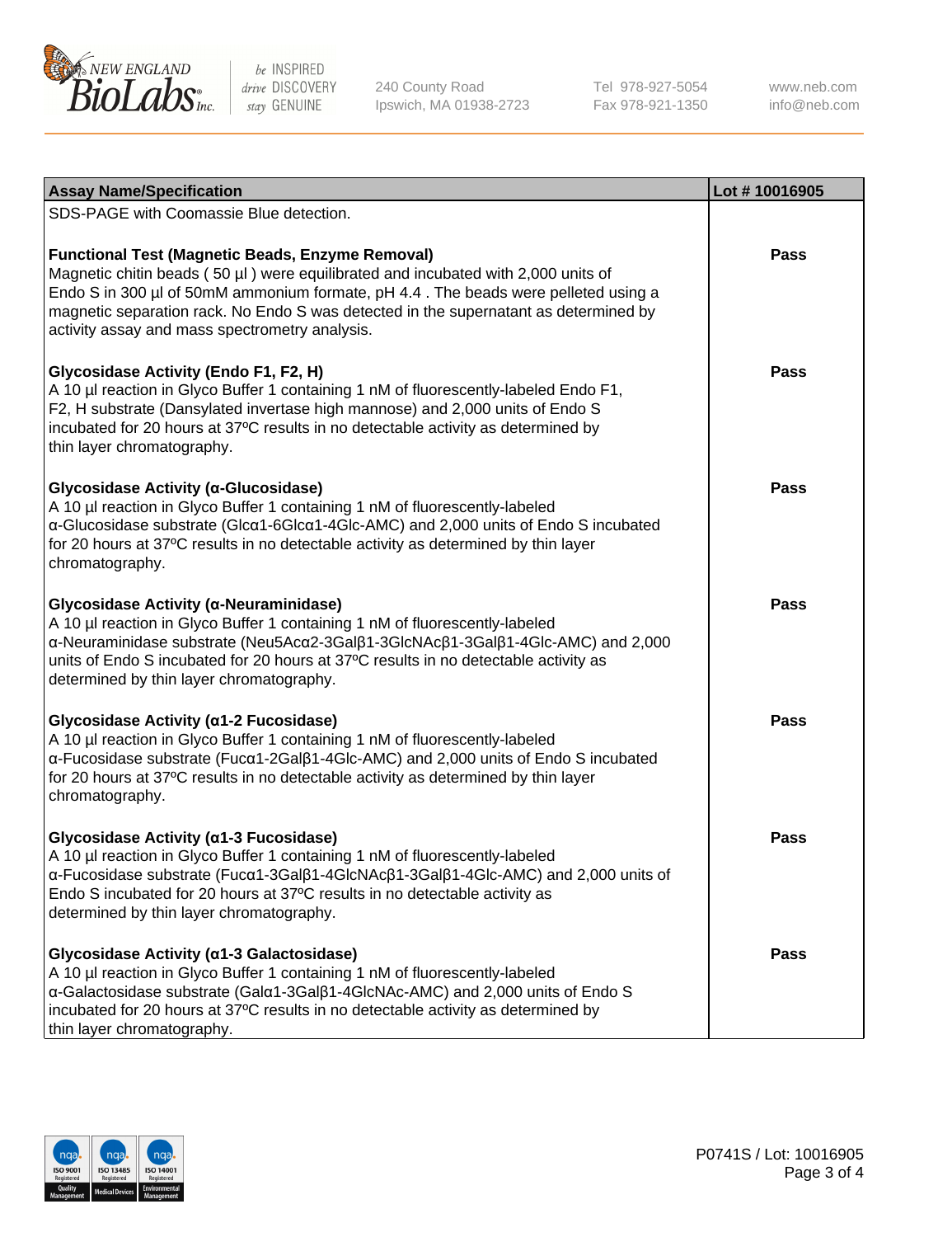

240 County Road Ipswich, MA 01938-2723 Tel 978-927-5054 Fax 978-921-1350

www.neb.com info@neb.com

| <b>Assay Name/Specification</b>                                                                                                                                                                                                                                                                                                                                              | Lot #10016905 |
|------------------------------------------------------------------------------------------------------------------------------------------------------------------------------------------------------------------------------------------------------------------------------------------------------------------------------------------------------------------------------|---------------|
| SDS-PAGE with Coomassie Blue detection.                                                                                                                                                                                                                                                                                                                                      |               |
| <b>Functional Test (Magnetic Beads, Enzyme Removal)</b><br>Magnetic chitin beads (50 µl) were equilibrated and incubated with 2,000 units of<br>Endo S in 300 µl of 50mM ammonium formate, pH 4.4. The beads were pelleted using a<br>magnetic separation rack. No Endo S was detected in the supernatant as determined by<br>activity assay and mass spectrometry analysis. | <b>Pass</b>   |
| Glycosidase Activity (Endo F1, F2, H)<br>A 10 µl reaction in Glyco Buffer 1 containing 1 nM of fluorescently-labeled Endo F1,<br>F2, H substrate (Dansylated invertase high mannose) and 2,000 units of Endo S<br>incubated for 20 hours at 37°C results in no detectable activity as determined by<br>thin layer chromatography.                                            | <b>Pass</b>   |
| Glycosidase Activity (α-Glucosidase)<br>A 10 µl reaction in Glyco Buffer 1 containing 1 nM of fluorescently-labeled<br>α-Glucosidase substrate (Glcα1-6Glcα1-4Glc-AMC) and 2,000 units of Endo S incubated<br>for 20 hours at 37°C results in no detectable activity as determined by thin layer<br>chromatography.                                                          | Pass          |
| Glycosidase Activity (α-Neuraminidase)<br>A 10 µl reaction in Glyco Buffer 1 containing 1 nM of fluorescently-labeled<br>α-Neuraminidase substrate (Neu5Acα2-3Galβ1-3GlcNAcβ1-3Galβ1-4Glc-AMC) and 2,000<br>units of Endo S incubated for 20 hours at 37°C results in no detectable activity as<br>determined by thin layer chromatography.                                  | <b>Pass</b>   |
| Glycosidase Activity (a1-2 Fucosidase)<br>A 10 µl reaction in Glyco Buffer 1 containing 1 nM of fluorescently-labeled<br>α-Fucosidase substrate (Fucα1-2Galβ1-4Glc-AMC) and 2,000 units of Endo S incubated<br>for 20 hours at 37°C results in no detectable activity as determined by thin layer<br>chromatography.                                                         | <b>Pass</b>   |
| Glycosidase Activity (α1-3 Fucosidase)<br>A 10 µl reaction in Glyco Buffer 1 containing 1 nM of fluorescently-labeled<br>α-Fucosidase substrate (Fucα1-3Galβ1-4GlcNAcβ1-3Galβ1-4Glc-AMC) and 2,000 units of<br>Endo S incubated for 20 hours at 37°C results in no detectable activity as<br>determined by thin layer chromatography.                                        | Pass          |
| Glycosidase Activity (a1-3 Galactosidase)<br>A 10 µl reaction in Glyco Buffer 1 containing 1 nM of fluorescently-labeled<br>α-Galactosidase substrate (Galα1-3Galβ1-4GlcNAc-AMC) and 2,000 units of Endo S<br>incubated for 20 hours at 37°C results in no detectable activity as determined by<br>thin layer chromatography.                                                | <b>Pass</b>   |